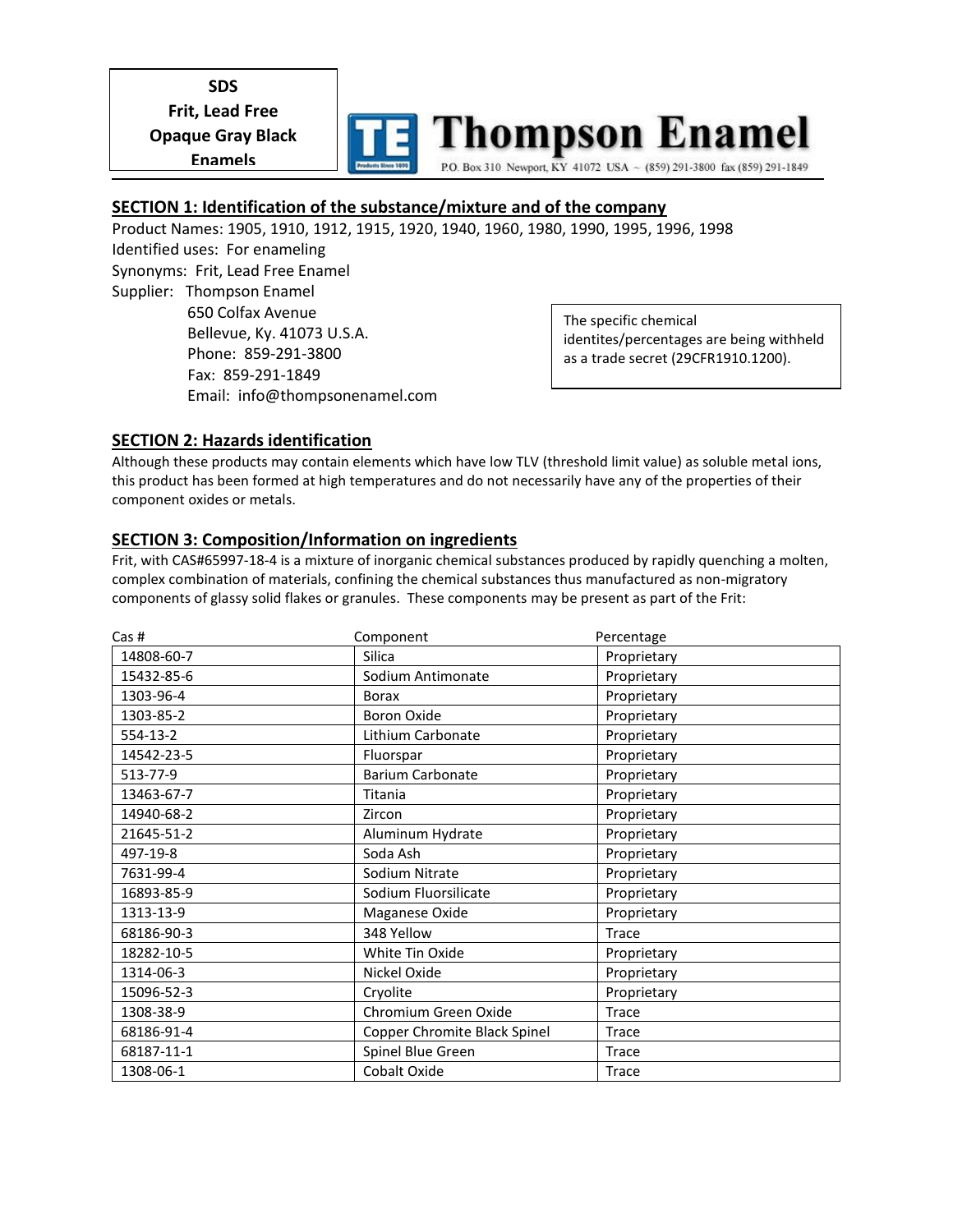**SDS Frit, Lead Free Opaque Gray Black Enamels** 



#### **SECTION 1: Identification of the substance/mixture and of the company**

Product Names: 1905, 1910, 1912, 1915, 1920, 1940, 1960, 1980, 1990, 1995, 1996, 1998 Identified uses: For enameling Synonyms: Frit, Lead Free Enamel Supplier: Thompson Enamel 650 Colfax Avenue Bellevue, Ky. 41073 U.S.A. Phone: 859-291-3800 Fax: 859-291-1849 Email: info@thompsonenamel.com The specific chemical identites/percentages are being withheld as a trade secret (29CFR1910.1200).

### **SECTION 2: Hazards identification**

Although these products may contain elements which have low TLV (threshold limit value) as soluble metal ions, this product has been formed at high temperatures and do not necessarily have any of the properties of their component oxides or metals.

#### **SECTION 3: Composition/Information on ingredients**

Frit, with CAS#65997-18-4 is a mixture of inorganic chemical substances produced by rapidly quenching a molten, complex combination of materials, confining the chemical substances thus manufactured as non-migratory components of glassy solid flakes or granules. These components may be present as part of the Frit:

| Cas #      | Component                    | Percentage   |
|------------|------------------------------|--------------|
| 14808-60-7 | Silica                       | Proprietary  |
| 15432-85-6 | Sodium Antimonate            | Proprietary  |
| 1303-96-4  | <b>Borax</b>                 | Proprietary  |
| 1303-85-2  | <b>Boron Oxide</b>           | Proprietary  |
| 554-13-2   | Lithium Carbonate            | Proprietary  |
| 14542-23-5 | Fluorspar                    | Proprietary  |
| 513-77-9   | <b>Barium Carbonate</b>      | Proprietary  |
| 13463-67-7 | Titania                      | Proprietary  |
| 14940-68-2 | Zircon                       | Proprietary  |
| 21645-51-2 | Aluminum Hydrate             | Proprietary  |
| 497-19-8   | Soda Ash                     | Proprietary  |
| 7631-99-4  | Sodium Nitrate               | Proprietary  |
| 16893-85-9 | Sodium Fluorsilicate         | Proprietary  |
| 1313-13-9  | Maganese Oxide               | Proprietary  |
| 68186-90-3 | 348 Yellow                   | Trace        |
| 18282-10-5 | White Tin Oxide              | Proprietary  |
| 1314-06-3  | Nickel Oxide                 | Proprietary  |
| 15096-52-3 | Cryolite                     | Proprietary  |
| 1308-38-9  | Chromium Green Oxide         | Trace        |
| 68186-91-4 | Copper Chromite Black Spinel | <b>Trace</b> |
| 68187-11-1 | Spinel Blue Green            | Trace        |
| 1308-06-1  | Cobalt Oxide                 | Trace        |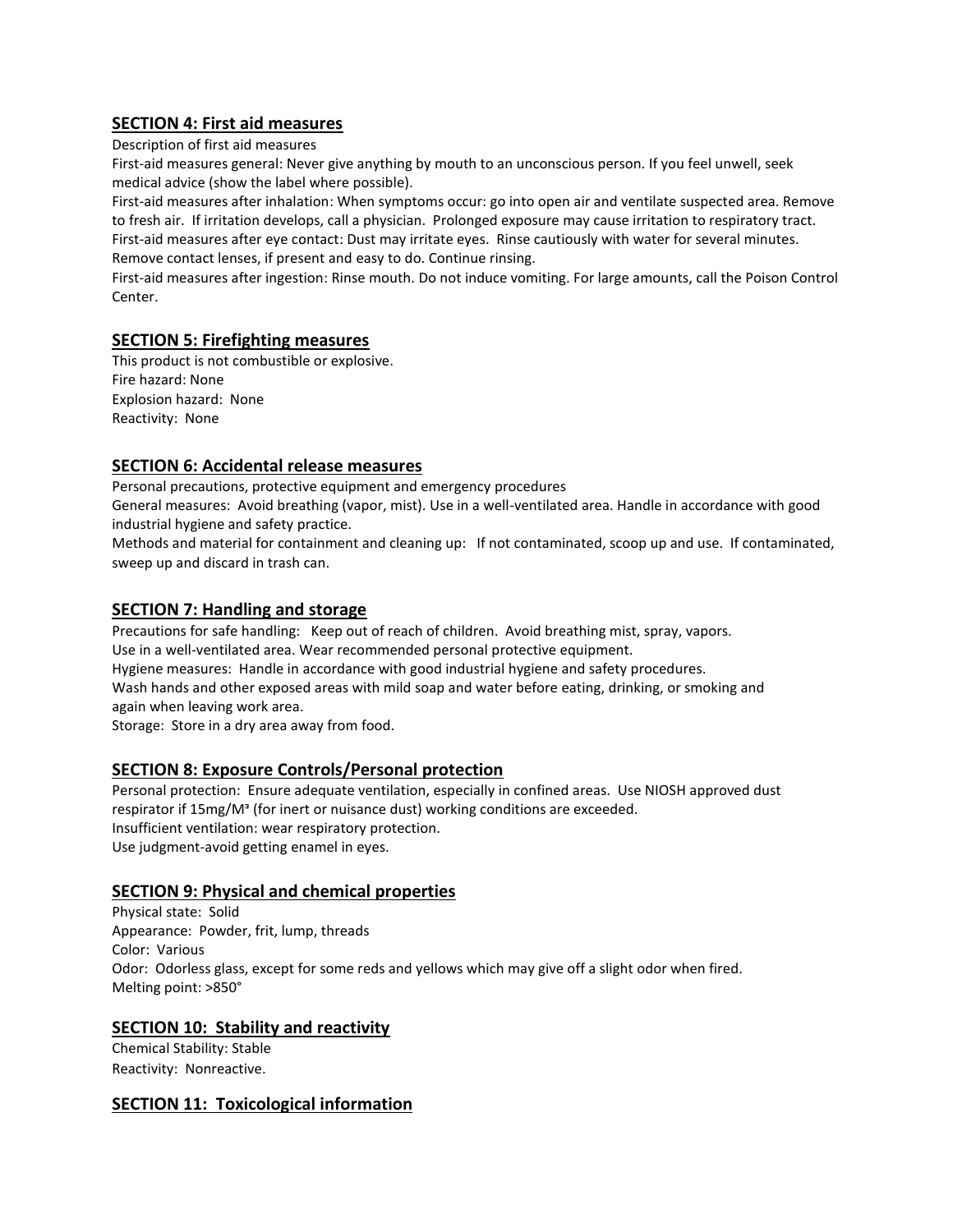# **SECTION 4: First aid measures**

Description of first aid measures

First-aid measures general: Never give anything by mouth to an unconscious person. If you feel unwell, seek medical advice (show the label where possible).

First-aid measures after inhalation: When symptoms occur: go into open air and ventilate suspected area. Remove to fresh air. If irritation develops, call a physician. Prolonged exposure may cause irritation to respiratory tract.

First-aid measures after eye contact: Dust may irritate eyes. Rinse cautiously with water for several minutes. Remove contact lenses, if present and easy to do. Continue rinsing.

First-aid measures after ingestion: Rinse mouth. Do not induce vomiting. For large amounts, call the Poison Control Center.

## **SECTION 5: Firefighting measures**

This product is not combustible or explosive. Fire hazard: None Explosion hazard: None Reactivity: None

# **SECTION 6: Accidental release measures**

Personal precautions, protective equipment and emergency procedures

General measures: Avoid breathing (vapor, mist). Use in a well-ventilated area. Handle in accordance with good industrial hygiene and safety practice.

Methods and material for containment and cleaning up: If not contaminated, scoop up and use. If contaminated, sweep up and discard in trash can.

## **SECTION 7: Handling and storage**

Precautions for safe handling: Keep out of reach of children. Avoid breathing mist, spray, vapors. Use in a well-ventilated area. Wear recommended personal protective equipment. Hygiene measures: Handle in accordance with good industrial hygiene and safety procedures. Wash hands and other exposed areas with mild soap and water before eating, drinking, or smoking and again when leaving work area.

Storage: Store in a dry area away from food.

## **SECTION 8: Exposure Controls/Personal protection**

Personal protection: Ensure adequate ventilation, especially in confined areas. Use NIOSH approved dust respirator if 15mg/Mᵌ (for inert or nuisance dust) working conditions are exceeded. Insufficient ventilation: wear respiratory protection. Use judgment-avoid getting enamel in eyes.

## **SECTION 9: Physical and chemical properties**

Physical state: Solid Appearance: Powder, frit, lump, threads Color: Various Odor: Odorless glass, except for some reds and yellows which may give off a slight odor when fired. Melting point: >850°

## **SECTION 10: Stability and reactivity**

Chemical Stability: Stable Reactivity: Nonreactive.

## **SECTION 11: Toxicological information**